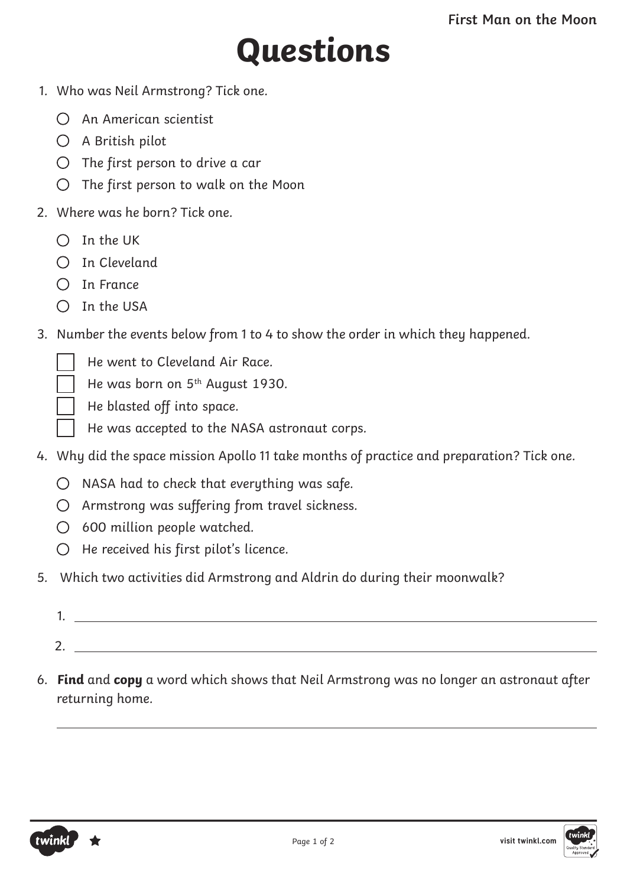## **Questions**

- 1. Who was Neil Armstrong? Tick one.
	- An American scientist
	- A British pilot
	- $O$  The first person to drive a car
	- $\bigcirc$  The first person to walk on the Moon
- 2. Where was he born? Tick one.
	- $O$  In the UK
	- $\bigcap$  In Cleveland
	- $\bigcap$  In France
	- $\bigcap$  In the USA
- 3. Number the events below from 1 to 4 to show the order in which they happened.
	- He went to Cleveland Air Race.
	- He was born on 5<sup>th</sup> August 1930.
	- He blasted off into space.
	- He was accepted to the NASA astronaut corps.
- 4. Why did the space mission Apollo 11 take months of practice and preparation? Tick one.
	- $O$  NASA had to check that everything was safe.
	- $O$  Armstrong was suffering from travel sickness.
	- 600 million people watched.
	- $O$  He received his first pilot's licence.
- 5. Which two activities did Armstrong and Aldrin do during their moonwalk?
	- 1. 2.
- 6. **Find** and **copy** a word which shows that Neil Armstrong was no longer an astronaut after returning home.



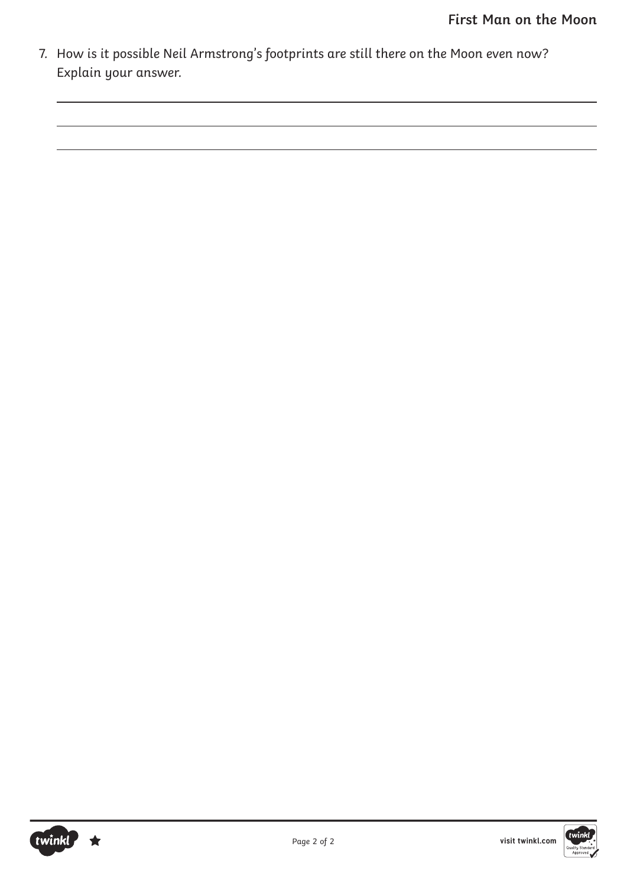7. How is it possible Neil Armstrong's footprints are still there on the Moon even now? Explain your answer.

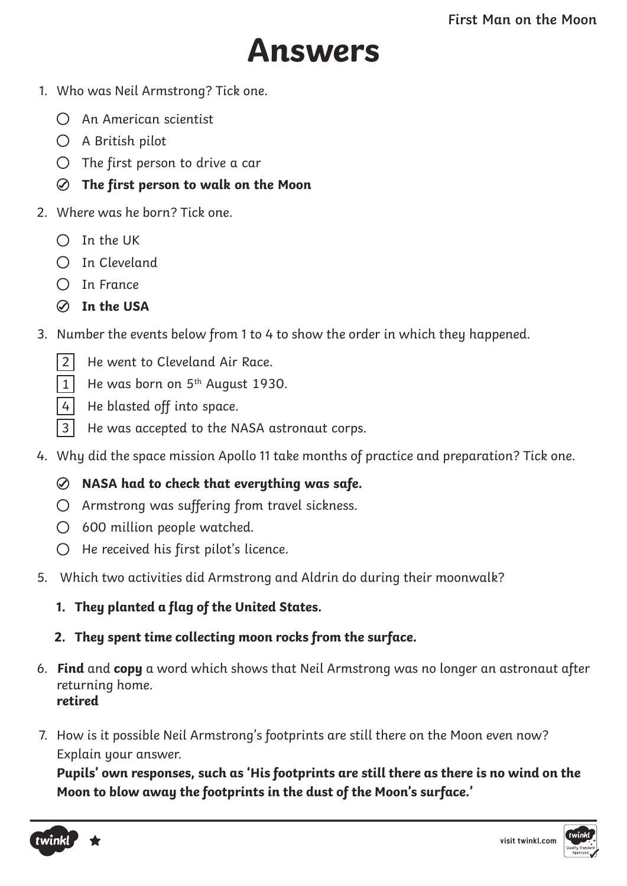

- 1. Who was Neil Armstrong? Tick one.
	- An American scientist
	- A British pilot
	- $O$  The first person to drive a car
	- **The first person to walk on the Moon**
- 2. Where was he born? Tick one.
	- $O$  In the UK
	- $\bigcap$  In Cleveland
	- $\bigcap$  In France
	- **In the USA**
- 3. Number the events below from 1 to 4 to show the order in which they happened.
	- 2 He went to Cleveland Air Race.
	- $\overline{1}$  He was born on 5<sup>th</sup> August 1930.
	- 4 He blasted off into space.
	- 3 He was accepted to the NASA astronaut corps.
- 4. Why did the space mission Apollo 11 take months of practice and preparation? Tick one.

## **NASA had to check that everything was safe.**

- $O$  Armstrong was suffering from travel sickness.
- $\bigcirc$  600 million people watched.
- $O$  He received his first pilot's licence.
- 5. Which two activities did Armstrong and Aldrin do during their moonwalk?
	- **1. They planted a flag of the United States.**
	- **2. They spent time collecting moon rocks from the surface.**
- 6. **Find** and **copy** a word which shows that Neil Armstrong was no longer an astronaut after returning home. **retired**
- 7. How is it possible Neil Armstrong's footprints are still there on the Moon even now? Explain your answer.

**Pupils' own responses, such as 'His footprints are still there as there is no wind on the Moon to blow away the footprints in the dust of the Moon's surface.'**



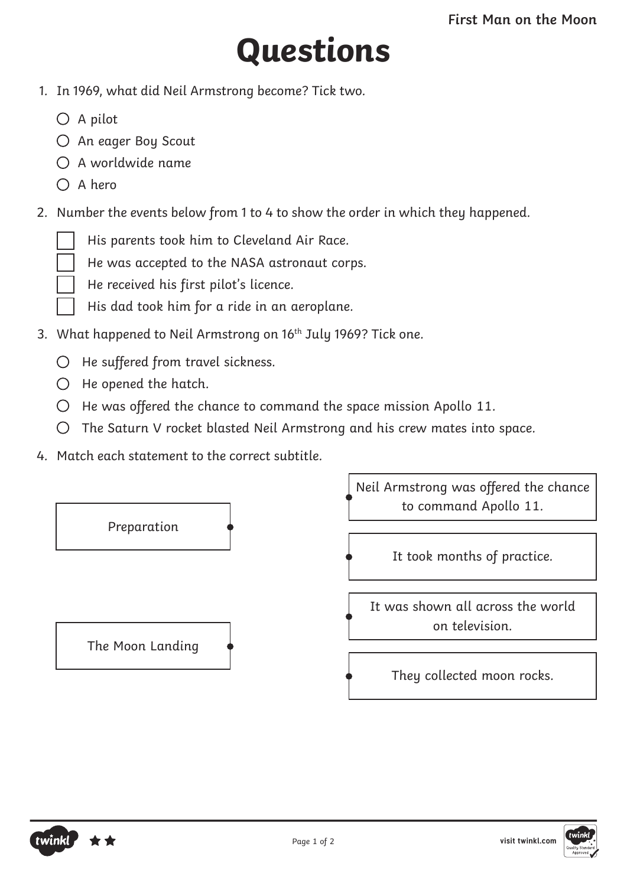## **Questions**

- 1. In 1969, what did Neil Armstrong become? Tick two.
	- $\bigcirc$  A pilot
	- An eager Boy Scout
	- $\bigcap$  A worldwide name
	- $\bigcap$  A hero
- 2. Number the events below from 1 to 4 to show the order in which they happened.
	- His parents took him to Cleveland Air Race.
	- He was accepted to the NASA astronaut corps.
	- He received his first pilot's licence.
	- His dad took him for a ride in an aeroplane.
- 3. What happened to Neil Armstrong on 16<sup>th</sup> July 1969? Tick one.
	- $O$  He suffered from travel sickness.
	- $\bigcirc$  He opened the hatch.
	- $\bigcirc$  He was offered the chance to command the space mission Apollo 11.
	- The Saturn V rocket blasted Neil Armstrong and his crew mates into space.
- 4. Match each statement to the correct subtitle.





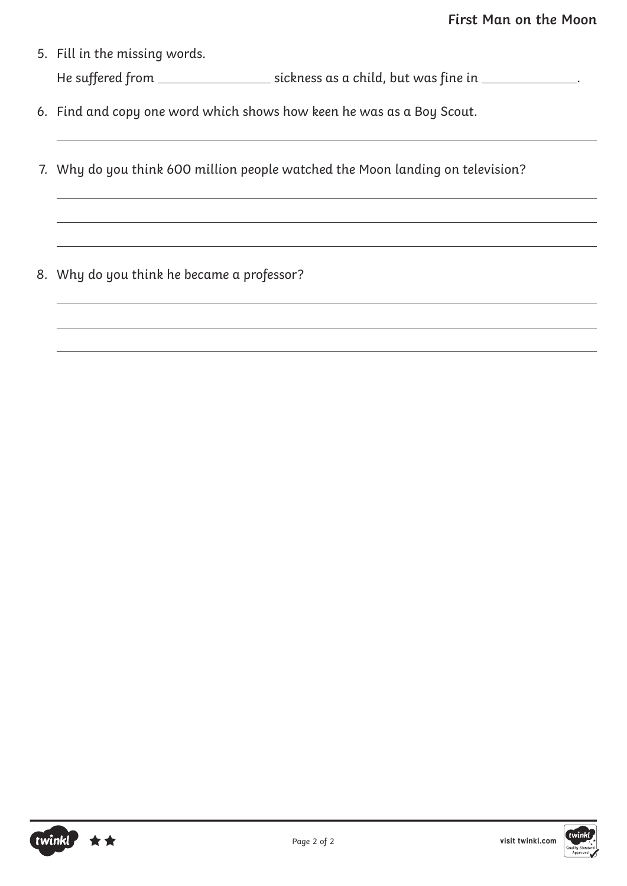- 5. Fill in the missing words. He suffered from \_\_\_\_\_\_\_\_\_\_\_\_\_\_\_\_\_\_\_\_ sickness as a child, but was fine in \_\_\_\_\_\_\_\_\_\_\_\_\_\_.
- 6. Find and copy one word which shows how keen he was as a Boy Scout.
- 7. Why do you think 600 million people watched the Moon landing on television?
- 8. Why do you think he became a professor?



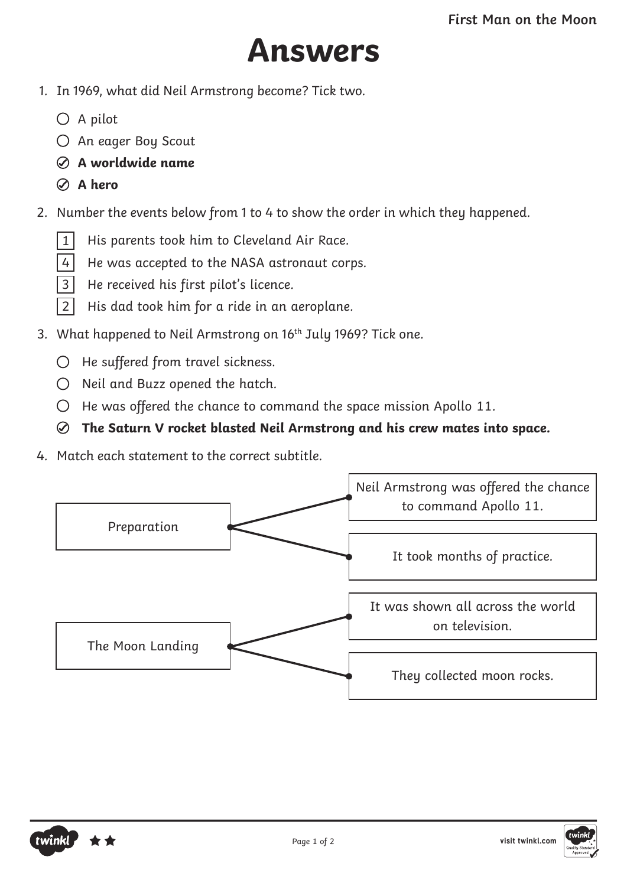

- 1. In 1969, what did Neil Armstrong become? Tick two.
	- $\bigcirc$  A pilot
	- An eager Boy Scout
	- **A worldwide name**
	- **A hero**
- 2. Number the events below from 1 to 4 to show the order in which they happened.
	- 1 His parents took him to Cleveland Air Race.
	- 4 He was accepted to the NASA astronaut corps.
	- 3 He received his first pilot's licence.
	- 2 His dad took him for a ride in an aeroplane.
- 3. What happened to Neil Armstrong on 16<sup>th</sup> July 1969? Tick one.
	- $O$  He suffered from travel sickness.
	- $O$  Neil and Buzz opened the hatch.
	- $\bigcirc$  He was offered the chance to command the space mission Apollo 11.
	- **The Saturn V rocket blasted Neil Armstrong and his crew mates into space.**
- 4. Match each statement to the correct subtitle.





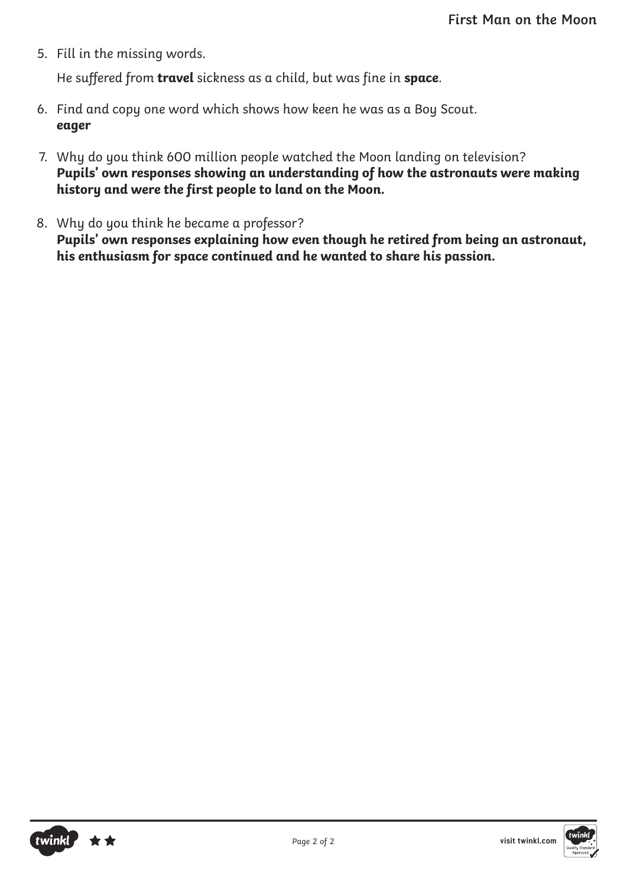5. Fill in the missing words.

He suffered from **travel** sickness as a child, but was fine in **space**.

- 6. Find and copy one word which shows how keen he was as a Boy Scout. **eager**
- 7. Why do you think 600 million people watched the Moon landing on television? **Pupils' own responses showing an understanding of how the astronauts were making history and were the first people to land on the Moon.**
- 8. Why do you think he became a professor? **Pupils' own responses explaining how even though he retired from being an astronaut, his enthusiasm for space continued and he wanted to share his passion.**



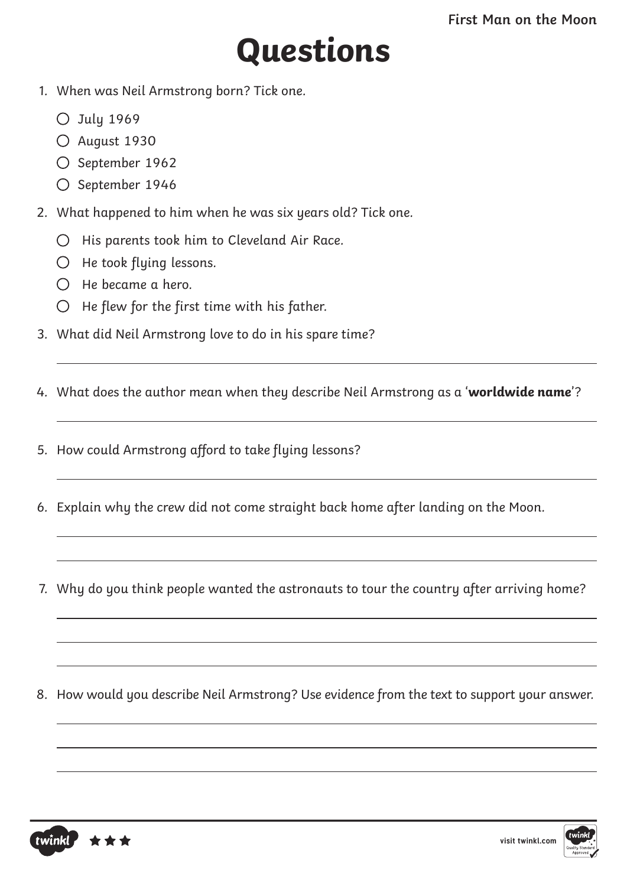## **Questions**

- 1. When was Neil Armstrong born? Tick one.
	- $O$  July 1969
	- O August 1930
	- O September 1962
	- $O$  September 1946
- 2. What happened to him when he was six years old? Tick one.
	- $O$  His parents took him to Cleveland Air Race.
	- $O$  He took flying lessons.
	- $O$  He became a hero.
	- $O$  He flew for the first time with his father.
- 3. What did Neil Armstrong love to do in his spare time?
- 4. What does the author mean when they describe Neil Armstrong as a '**worldwide name**'?
- 5. How could Armstrong afford to take flying lessons?
- 6. Explain why the crew did not come straight back home after landing on the Moon.
- 7. Why do you think people wanted the astronauts to tour the country after arriving home?
- 8. How would you describe Neil Armstrong? Use evidence from the text to support your answer.